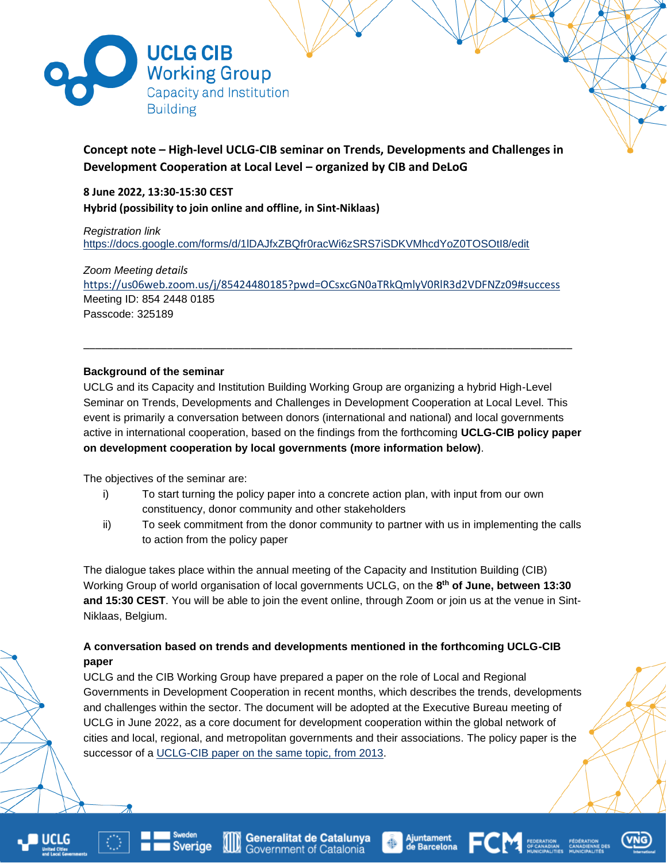

# **Concept note – High-level UCLG-CIB seminar on Trends, Developments and Challenges in Development Cooperation at Local Level – organized by CIB and DeLoG**

**8 June 2022, 13:30-15:30 CEST Hybrid (possibility to join online and offline, in Sint-Niklaas)**

*Registration link* <https://docs.google.com/forms/d/1lDAJfxZBQfr0racWi6zSRS7iSDKVMhcdYoZ0TOSOtI8/edit>

*Zoom Meeting details* <https://us06web.zoom.us/j/85424480185?pwd=OCsxcGN0aTRkQmlyV0RlR3d2VDFNZz09#success> Meeting ID: 854 2448 0185 Passcode: 325189

\_\_\_\_\_\_\_\_\_\_\_\_\_\_\_\_\_\_\_\_\_\_\_\_\_\_\_\_\_\_\_\_\_\_\_\_\_\_\_\_\_\_\_\_\_\_\_\_\_\_\_\_\_\_\_\_\_\_\_\_\_\_\_\_\_\_\_\_\_\_\_\_\_\_\_\_\_\_\_\_\_\_

## **Background of the seminar**

UCLG and its Capacity and Institution Building Working Group are organizing a hybrid High-Level Seminar on Trends, Developments and Challenges in Development Cooperation at Local Level. This event is primarily a conversation between donors (international and national) and local governments active in international cooperation, based on the findings from the forthcoming **UCLG-CIB policy paper on development cooperation by local governments (more information below)**.

The objectives of the seminar are:

- i) To start turning the policy paper into a concrete action plan, with input from our own constituency, donor community and other stakeholders
- ii) To seek commitment from the donor community to partner with us in implementing the calls to action from the policy paper

The dialogue takes place within the annual meeting of the Capacity and Institution Building (CIB) Working Group of world organisation of local governments UCLG, on the **8 th of June, between 13:30 and 15:30 CEST**. You will be able to join the event online, through Zoom or join us at the venue in Sint-Niklaas, Belgium.

## **A conversation based on trends and developments mentioned in the forthcoming UCLG-CIB paper**

UCLG and the CIB Working Group have prepared a paper on the role of Local and Regional Governments in Development Cooperation in recent months, which describes the trends, developments and challenges within the sector. The document will be adopted at the Executive Bureau meeting of UCLG in June 2022, as a core document for development cooperation within the global network of cities and local, regional, and metropolitan governments and their associations. The policy paper is the successor of a [UCLG-CIB paper on the same topic, from 2013.](http://cib-uclg.org/cib-library/content/policy-paper-development-cooperation-and-local-government-background-paper)





**Sverige** 





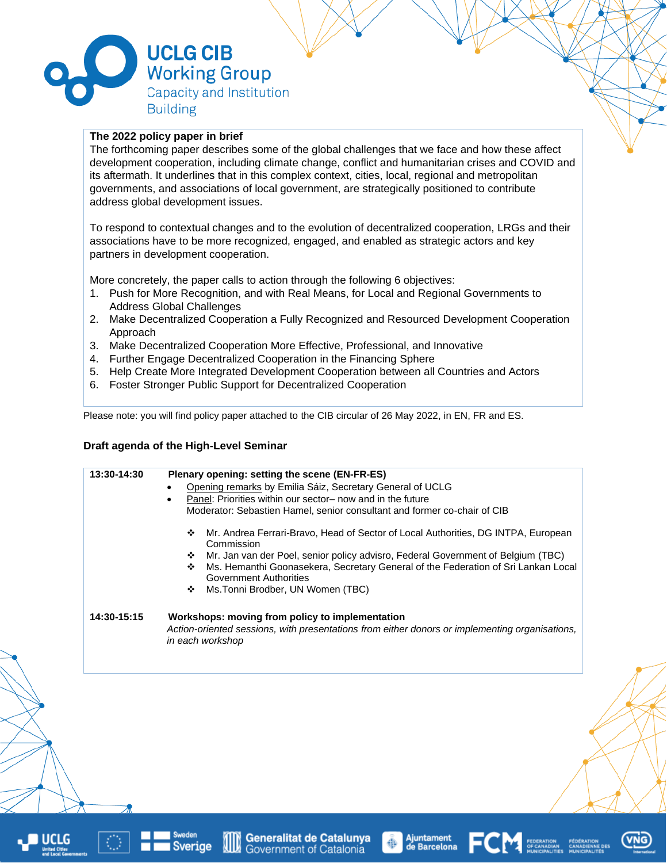

### **The 2022 policy paper in brief**

The forthcoming paper describes some of the global challenges that we face and how these affect development cooperation, including climate change, conflict and humanitarian crises and COVID and its aftermath. It underlines that in this complex context, cities, local, regional and metropolitan governments, and associations of local government, are strategically positioned to contribute address global development issues.

To respond to contextual changes and to the evolution of decentralized cooperation, LRGs and their associations have to be more recognized, engaged, and enabled as strategic actors and key partners in development cooperation.

More concretely, the paper calls to action through the following 6 objectives:

- 1. Push for More Recognition, and with Real Means, for Local and Regional Governments to Address Global Challenges
- 2. Make Decentralized Cooperation a Fully Recognized and Resourced Development Cooperation Approach
- 3. Make Decentralized Cooperation More Effective, Professional, and Innovative
- 4. Further Engage Decentralized Cooperation in the Financing Sphere
- 5. Help Create More Integrated Development Cooperation between all Countries and Actors
- 6. Foster Stronger Public Support for Decentralized Cooperation

Please note: you will find policy paper attached to the CIB circular of 26 May 2022, in EN, FR and ES.

#### **Draft agenda of the High-Level Seminar**

|             | Opening remarks by Emilia Sáiz, Secretary General of UCLG<br>Panel: Priorities within our sector- now and in the future<br>$\bullet$<br>Moderator: Sebastien Hamel, senior consultant and former co-chair of CIB<br>Mr. Andrea Ferrari-Bravo, Head of Sector of Local Authorities, DG INTPA, European<br>❖<br>Commission<br>Mr. Jan van der Poel, senior policy advisro, Federal Government of Belgium (TBC)<br>❖<br>Ms. Hemanthi Goonasekera, Secretary General of the Federation of Sri Lankan Local<br>❖<br><b>Government Authorities</b><br>Ms. Tonni Brodber, UN Women (TBC)<br>❖ |
|-------------|----------------------------------------------------------------------------------------------------------------------------------------------------------------------------------------------------------------------------------------------------------------------------------------------------------------------------------------------------------------------------------------------------------------------------------------------------------------------------------------------------------------------------------------------------------------------------------------|
| 14:30-15:15 | Workshops: moving from policy to implementation<br>Action-oriented sessions, with presentations from either donors or implementing organisations,<br>in each workshop                                                                                                                                                                                                                                                                                                                                                                                                                  |





**Ajuntament<br>de Barcelona**